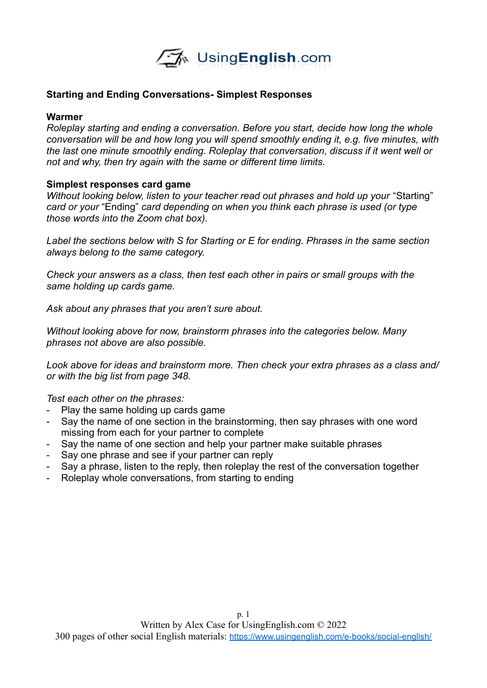

## **Starting and Ending Conversations- Simplest Responses**

## **Warmer**

*Roleplay starting and ending a conversation. Before you start, decide how long the whole conversation will be and how long you will spend smoothly ending it, e.g. five minutes, with the last one minute smoothly ending. Roleplay that conversation, discuss if it went well or not and why, then try again with the same or different time limits.* 

## **Simplest responses card game**

*Without looking below, listen to your teacher read out phrases and hold up your "Starting" card or your* "Ending" *card depending on when you think each phrase is used (or type those words into the Zoom chat box).* 

*Label the sections below with S for Starting or E for ending. Phrases in the same section always belong to the same category.* 

*Check your answers as a class, then test each other in pairs or small groups with the same holding up cards game.*

*Ask about any phrases that you aren't sure about.* 

*Without looking above for now, brainstorm phrases into the categories below. Many phrases not above are also possible.* 

*Look above for ideas and brainstorm more. Then check your extra phrases as a class and/ or with the big list from page 348.* 

*Test each other on the phrases:*

- Play the same holding up cards game
- Say the name of one section in the brainstorming, then say phrases with one word missing from each for your partner to complete
- Say the name of one section and help your partner make suitable phrases
- Say one phrase and see if your partner can reply
- Say a phrase, listen to the reply, then roleplay the rest of the conversation together
- Roleplay whole conversations, from starting to ending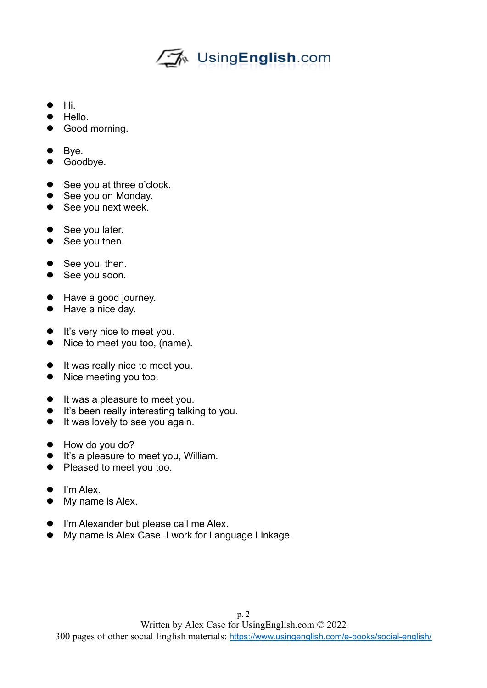## └── UsingEnglish.com

- $\bullet$  Hi
- $\bullet$  Hello.
- **•** Good morning.
- $\bullet$  Bye.
- **•** Goodbye.
- See you at three o'clock.
- See you on Monday.
- See you next week.
- See you later.
- See you then.
- See you, then.
- See you soon.
- Have a good journey.
- Have a nice day.
- **It's very nice to meet you.**
- Nice to meet you too, (name).
- $\bullet$  It was really nice to meet you.
- Nice meeting you too.
- $\bullet$  It was a pleasure to meet you.
- **It's been really interesting talking to you.**
- **•** It was lovely to see you again.
- $\bullet$  How do you do?
- **It's a pleasure to meet you, William.**
- Pleased to meet you too.
- I'm Alex.
- My name is Alex.
- **I'm Alexander but please call me Alex.**
- My name is Alex Case. I work for Language Linkage.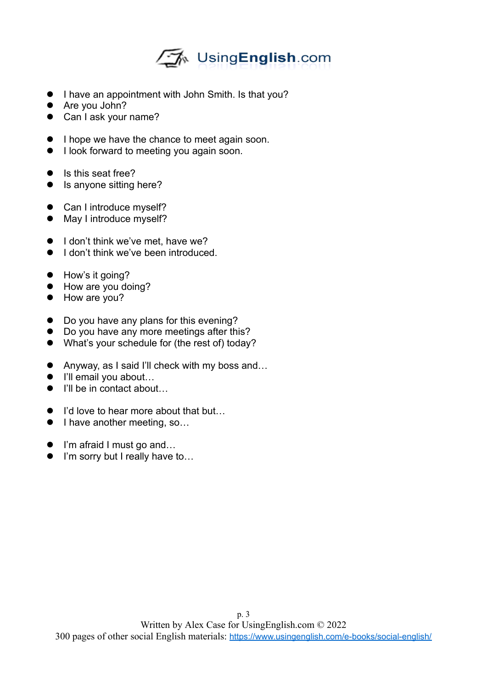

- I have an appointment with John Smith. Is that you?
- Are you John?
- Can I ask your name?
- $\bullet$  I hope we have the chance to meet again soon.
- $\bullet$  I look forward to meeting you again soon.
- Is this seat free?
- Is anyone sitting here?
- Can I introduce myself?
- May I introduce myself?
- $\bullet$  I don't think we've met, have we?
- $\bullet$  I don't think we've been introduced.
- How's it going?
- How are you doing?
- How are you?
- Do you have any plans for this evening?
- Do you have any more meetings after this?
- What's your schedule for (the rest of) today?
- Anyway, as I said I'll check with my boss and...
- I'll email you about...
- I'll be in contact about
- I'd love to hear more about that but...
- I have another meeting, so...
- I'm afraid I must go and...
- I'm sorry but I really have to...